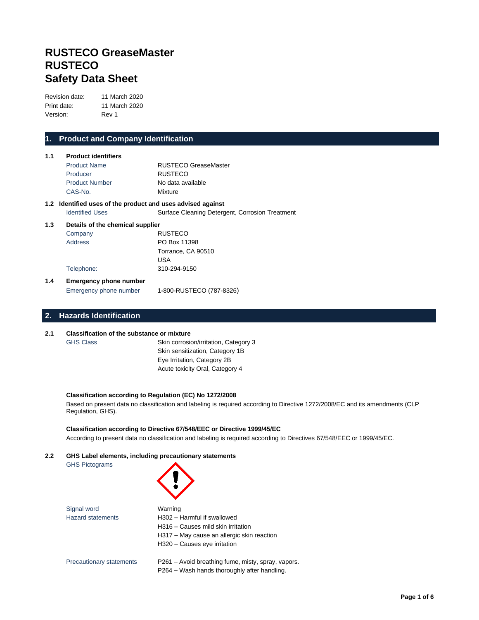# **RUSTECO GreaseMaster RUSTECO Safety Data Sheet**

Revision date: 11 March 2020 Print date: 11 March 2020 Version: Rev 1

## **1. Product and Company Identification**

| 1.1 | <b>Product identifiers</b><br><b>Product Name</b>           | <b>RUSTECO GreaseMaster</b>                     |
|-----|-------------------------------------------------------------|-------------------------------------------------|
|     | Producer                                                    | <b>RUSTECO</b>                                  |
|     | <b>Product Number</b>                                       | No data available                               |
|     | CAS-No.                                                     | Mixture                                         |
|     | 1.2 Identified uses of the product and uses advised against |                                                 |
|     | <b>Identified Uses</b>                                      | Surface Cleaning Detergent, Corrosion Treatment |
| 1.3 | Details of the chemical supplier                            |                                                 |
|     | Company                                                     | <b>RUSTECO</b>                                  |
|     | Address                                                     | PO Box 11398                                    |
|     |                                                             | Torrance, CA 90510                              |
|     |                                                             | USA                                             |
|     | Telephone:                                                  | 310-294-9150                                    |
| 1.4 | <b>Emergency phone number</b>                               |                                                 |
|     | Emergency phone number                                      | 1-800-RUSTECO (787-8326)                        |

## **2. Hazards Identification**

#### **2.1 Classification of the substance or mixture**

GHS Class Skin corrosion/irritation, Category 3 Skin sensitization, Category 1B Eye Irritation, Category 2B Acute toxicity Oral, Category 4

### **Classification according to Regulation (EC) No 1272/2008**

Based on present data no classification and labeling is required according to Directive 1272/2008/EC and its amendments (CLP Regulation, GHS).

**Classification according to Directive 67/548/EEC or Directive 1999/45/EC** According to present data no classification and labeling is required according to Directives 67/548/EEC or 1999/45/EC.

### **2.2 GHS Label elements, including precautionary statements**

GHS Pictograms

| Signal word                     | Warning                                            |  |
|---------------------------------|----------------------------------------------------|--|
| <b>Hazard statements</b>        | H302 - Harmful if swallowed                        |  |
|                                 | H316 - Causes mild skin irritation                 |  |
|                                 | H317 - May cause an allergic skin reaction         |  |
|                                 | H320 - Causes eye irritation                       |  |
| <b>Precautionary statements</b> | P261 – Avoid breathing fume, misty, spray, vapors. |  |
|                                 | P264 – Wash hands thoroughly after handling.       |  |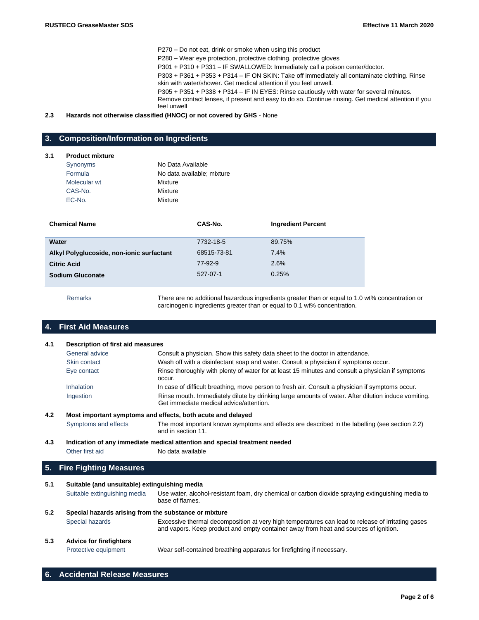P270 – Do not eat, drink or smoke when using this product P280 – Wear eye protection, protective clothing, protective gloves P301 + P310 + P331 – IF SWALLOWED: Immediately call a poison center/doctor. P303 + P361 + P353 + P314 – IF ON SKIN: Take off immediately all contaminate clothing. Rinse skin with water/shower. Get medical attention if you feel unwell. P305 + P351 + P338 + P314 – IF IN EYES: Rinse cautiously with water for several minutes. Remove contact lenses, if present and easy to do so. Continue rinsing. Get medical attention if you feel unwell

#### **2.3 Hazards not otherwise classified (HNOC) or not covered by GHS** - None

## **3. Composition/Information on Ingredients**

## **3.1 Product mixture**

| Synonyms     | No Data Available          |
|--------------|----------------------------|
| Formula      | No data available; mixture |
| Molecular wt | Mixture                    |
| CAS-No.      | Mixture                    |
| EC-No.       | Mixture                    |

| <b>Chemical Name</b>                      | CAS-No.     | <b>Ingredient Percent</b> |
|-------------------------------------------|-------------|---------------------------|
|                                           |             |                           |
| Water                                     | 7732-18-5   | 89.75%                    |
| Alkyl Polyglucoside, non-ionic surfactant | 68515-73-81 | 7.4%                      |
| <b>Citric Acid</b>                        | 77-92-9     | 2.6%                      |
| <b>Sodium Gluconate</b>                   | 527-07-1    | 0.25%                     |
|                                           |             |                           |

Remarks There are no additional hazardous ingredients greater than or equal to 1.0 wt% concentration or carcinogenic ingredients greater than or equal to 0.1 wt% concentration.

## **4. First Aid Measures**

|     | General advice       | Consult a physician. Show this safety data sheet to the doctor in attendance.                                                                  |
|-----|----------------------|------------------------------------------------------------------------------------------------------------------------------------------------|
|     | Skin contact         | Wash off with a disinfectant soap and water. Consult a physician if symptoms occur.                                                            |
|     | Eye contact          | Rinse thoroughly with plenty of water for at least 15 minutes and consult a physician if symptoms<br>occur.                                    |
|     | Inhalation           | In case of difficult breathing, move person to fresh air. Consult a physician if symptoms occur.                                               |
|     | Ingestion            | Rinse mouth. Immediately dilute by drinking large amounts of water. After dilution induce vomiting.<br>Get immediate medical advice/attention. |
| 4.2 |                      | Most important symptoms and effects, both acute and delayed                                                                                    |
|     | Symptoms and effects | The most important known symptoms and effects are described in the labelling (see section 2.2)<br>and in section 11.                           |
| 4.3 |                      | Indication of any immediate medical attention and special treatment needed                                                                     |

Other first aid No data available

## **5. Fire Fighting Measures**

| 5.1                                                          | Suitable (and unsuitable) extinguishing media |                                                                                                                                                                                           |  |
|--------------------------------------------------------------|-----------------------------------------------|-------------------------------------------------------------------------------------------------------------------------------------------------------------------------------------------|--|
|                                                              | Suitable extinguishing media                  | Use water, alcohol-resistant foam, dry chemical or carbon dioxide spraying extinguishing media to<br>base of flames.                                                                      |  |
| Special hazards arising from the substance or mixture<br>5.2 |                                               |                                                                                                                                                                                           |  |
|                                                              | Special hazards                               | Excessive thermal decomposition at very high temperatures can lead to release of irritating gases<br>and vapors. Keep product and empty container away from heat and sources of ignition. |  |
| 5.3                                                          | <b>Advice for firefighters</b>                |                                                                                                                                                                                           |  |
|                                                              | Protective equipment                          | Wear self-contained breathing apparatus for firefighting if necessary.                                                                                                                    |  |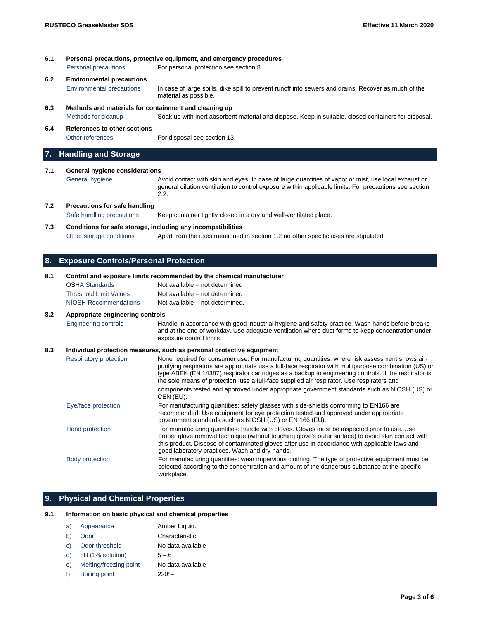| 6.1<br>Personal precautions, protective equipment, and emergency procedures |                                                       |                                                                                                                               |
|-----------------------------------------------------------------------------|-------------------------------------------------------|-------------------------------------------------------------------------------------------------------------------------------|
|                                                                             | Personal precautions                                  | For personal protection see section 8.                                                                                        |
| 6.2                                                                         | <b>Environmental precautions</b>                      |                                                                                                                               |
|                                                                             | Environmental precautions                             | In case of large spills, dike spill to prevent runoff into sewers and drains. Recover as much of the<br>material as possible. |
| 6.3                                                                         | Methods and materials for containment and cleaning up |                                                                                                                               |
|                                                                             | Methods for cleanup                                   | Soak up with inert absorbent material and dispose. Keep in suitable, closed containers for disposal.                          |
| 6.4                                                                         | References to other sections                          |                                                                                                                               |
|                                                                             | Other references                                      | For disposal see section 13.                                                                                                  |

## **7. Handling and Storage**

### **7.1 General hygiene considerations**

General hygiene **Avoid contact with skin and eyes. In case of large quantities of vapor or mist, use local exhaust or** general dilution ventilation to control exposure within applicable limits. For precautions see section 2.2.

### **7.2 Precautions for safe handling**

Safe handling precautions Keep container tightly closed in a dry and well-ventilated place.

#### **7.3 Conditions for safe storage, including any incompatibilities**

Other storage conditions Apart from the uses mentioned in section 1.2 no other specific uses are stipulated.

## **8. Exposure Controls/Personal Protection**

#### **8.1 Control and exposure limits recommended by the chemical manufacturer**

| <b>OSHA Standards</b>         | Not available – not determined  |
|-------------------------------|---------------------------------|
| <b>Threshold Limit Values</b> | Not available – not determined  |
| NIOSH Recommendations         | Not available – not determined. |

#### **8.2 Appropriate engineering controls**

Engineering controls Handle in accordance with good industrial hygiene and safety practice. Wash hands before breaks and at the end of workday. Use adequate ventilation where dust forms to keep concentration under exposure control limits.

#### **8.3 Individual protection measures, such as personal protective equipment**

| Respiratory protection | None required for consumer use. For manufacturing quantities: where risk assessment shows air-<br>purifying respirators are appropriate use a full-face respirator with multipurpose combination (US) or<br>type ABEK (EN 14387) respirator cartridges as a backup to engineering controls. If the respirator is<br>the sole means of protection, use a full-face supplied air respirator. Use respirators and |
|------------------------|----------------------------------------------------------------------------------------------------------------------------------------------------------------------------------------------------------------------------------------------------------------------------------------------------------------------------------------------------------------------------------------------------------------|
|                        | components tested and approved under appropriate government standards such as NIOSH (US) or<br>CEN (EU).                                                                                                                                                                                                                                                                                                       |
| Eye/face protection    | For manufacturing quantities: safety glasses with side-shields conforming to EN166 are<br>recommended. Use equipment for eye protection tested and approved under appropriate<br>government standards such as NIOSH (US) or EN 166 (EU).                                                                                                                                                                       |
| Hand protection        | For manufacturing quantities: handle with gloves. Gloves must be inspected prior to use. Use<br>proper glove removal technique (without touching glove's outer surface) to avoid skin contact with<br>this product. Dispose of contaminated gloves after use in accordance with applicable laws and<br>good laboratory practices. Wash and dry hands.                                                          |
| Body protection        | For manufacturing quantities: wear impervious clothing. The type of protective equipment must be<br>selected according to the concentration and amount of the dangerous substance at the specific<br>workplace.                                                                                                                                                                                                |

### **9. Physical and Chemical Properties**

#### **9.1 Information on basic physical and chemical properties**

| a) | Appearance             | Amber Liquid.     |
|----|------------------------|-------------------|
| b) | Odor                   | Characteristic    |
| C) | Odor threshold         | No data available |
| d) | pH (1% solution)       | $5 - 6$           |
| e) | Melting/freezing point | No data available |
| f) | <b>Boiling point</b>   | $220^{\circ}$ F   |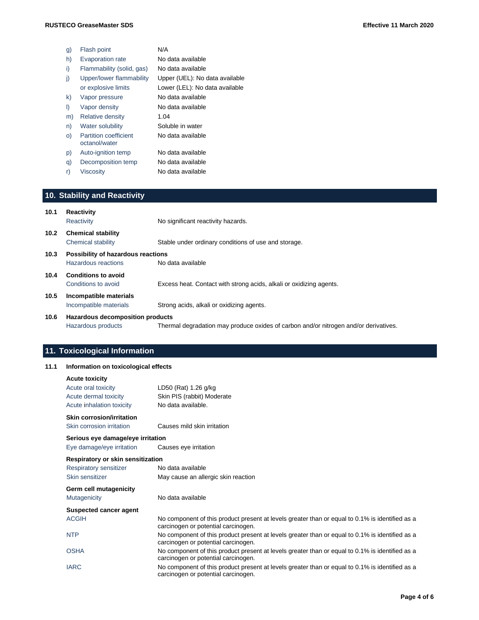| g)      | Flash point                                   | N/A                            |
|---------|-----------------------------------------------|--------------------------------|
| h)      | <b>Evaporation rate</b>                       | No data available              |
| i)      | Flammability (solid, gas)                     | No data available              |
| j)      | Upper/lower flammability                      | Upper (UEL): No data available |
|         | or explosive limits                           | Lower (LEL): No data available |
| k)      | Vapor pressure                                | No data available              |
| $\vert$ | Vapor density                                 | No data available              |
| m)      | Relative density                              | 1.04                           |
| n)      | Water solubility                              | Soluble in water               |
| $\circ$ | <b>Partition coefficient</b><br>octanol/water | No data available              |
| p)      | Auto-ignition temp                            | No data available              |
| q)      | Decomposition temp                            | No data available              |
| r)      | <b>Viscosity</b>                              | No data available              |
|         |                                               |                                |

# **10. Stability and Reactivity**

| 10.1              | Reactivity<br>Reactivity                                  | No significant reactivity hazards.                                                   |
|-------------------|-----------------------------------------------------------|--------------------------------------------------------------------------------------|
| 10.2 <sub>1</sub> | <b>Chemical stability</b><br>Chemical stability           | Stable under ordinary conditions of use and storage.                                 |
| 10.3              | Possibility of hazardous reactions<br>Hazardous reactions | No data available                                                                    |
| 10.4              | <b>Conditions to avoid</b><br>Conditions to avoid         | Excess heat. Contact with strong acids, alkali or oxidizing agents.                  |
| 10.5              | Incompatible materials<br>Incompatible materials          | Strong acids, alkali or oxidizing agents.                                            |
| 10.6              | Hazardous decomposition products<br>Hazardous products    | Thermal degradation may produce oxides of carbon and/or nitrogen and/or derivatives. |

# **11. Toxicological Information**

## **11.1 Information on toxicological effects**

| <b>Acute toxicity</b><br>Acute oral toxicity<br>Acute dermal toxicity | LD50 (Rat) 1.26 g/kg<br>Skin PIS (rabbit) Moderate                                                                                     |  |  |
|-----------------------------------------------------------------------|----------------------------------------------------------------------------------------------------------------------------------------|--|--|
| Acute inhalation toxicity                                             | No data available.                                                                                                                     |  |  |
| <b>Skin corrosion/irritation</b><br>Skin corrosion irritation         | Causes mild skin irritation                                                                                                            |  |  |
| Serious eye damage/eye irritation<br>Eye damage/eye irritation        | Causes eye irritation                                                                                                                  |  |  |
| Respiratory or skin sensitization                                     |                                                                                                                                        |  |  |
| Respiratory sensitizer<br>Skin sensitizer                             | No data available<br>May cause an allergic skin reaction                                                                               |  |  |
| Germ cell mutagenicity                                                |                                                                                                                                        |  |  |
| Mutagenicity                                                          | No data available                                                                                                                      |  |  |
| <b>Suspected cancer agent</b>                                         |                                                                                                                                        |  |  |
| <b>ACGIH</b>                                                          | No component of this product present at levels greater than or equal to 0.1% is identified as a<br>carcinogen or potential carcinogen. |  |  |
| <b>NTP</b>                                                            | No component of this product present at levels greater than or equal to 0.1% is identified as a<br>carcinogen or potential carcinogen. |  |  |
| <b>OSHA</b>                                                           | No component of this product present at levels greater than or equal to 0.1% is identified as a<br>carcinogen or potential carcinogen. |  |  |
| <b>IARC</b>                                                           | No component of this product present at levels greater than or equal to 0.1% is identified as a<br>carcinogen or potential carcinogen. |  |  |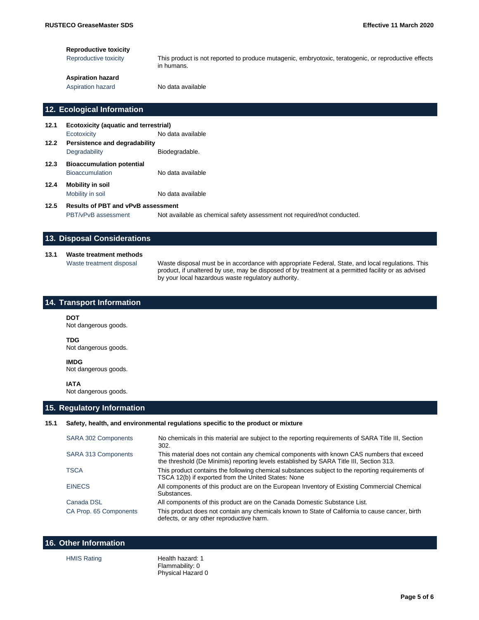#### **Reproductive toxicity**

Reproductive toxicity This product is not reported to produce mutagenic, embryotoxic, teratogenic, or reproductive effects in humans.

## **Aspiration hazard**

Aspiration hazard No data available

### **12. Ecological Information**

| 12.1 | <b>Ecotoxicity (aquatic and terrestrial)</b> |                   |  |  |  |
|------|----------------------------------------------|-------------------|--|--|--|
|      | Ecotoxicity                                  | No data available |  |  |  |
| 12.2 | Persistence and degradability                |                   |  |  |  |
|      | Degradability                                | Biodegradable.    |  |  |  |
| 12.3 | <b>Bioaccumulation potential</b>             |                   |  |  |  |
|      | <b>Bioaccumulation</b>                       | No data available |  |  |  |
| 12.4 | <b>Mobility in soil</b>                      |                   |  |  |  |
|      | Mobility in soil                             | No data available |  |  |  |

## **12.5 Results of PBT and vPvB assessment**

PBT/vPvB assessment Not available as chemical safety assessment not required/not conducted.

## **13. Disposal Considerations**

### **13.1 Waste treatment methods**

Waste treatment disposal Waste disposal must be in accordance with appropriate Federal, State, and local regulations. This product, if unaltered by use, may be disposed of by treatment at a permitted facility or as advised by your local hazardous waste regulatory authority.

## **14. Transport Information**

#### **DOT**

Not dangerous goods.

#### **TDG**

Not dangerous goods.

### **IMDG** Not dangerous goods.

**IATA**

Not dangerous goods.

## **15. Regulatory Information**

#### **15.1 Safety, health, and environmental regulations specific to the product or mixture**

| <b>SARA 302 Components</b> | No chemicals in this material are subject to the reporting requirements of SARA Title III, Section<br>302.                                                                           |
|----------------------------|--------------------------------------------------------------------------------------------------------------------------------------------------------------------------------------|
| SARA 313 Components        | This material does not contain any chemical components with known CAS numbers that exceed<br>the threshold (De Minimis) reporting levels established by SARA Title III, Section 313. |
| <b>TSCA</b>                | This product contains the following chemical substances subject to the reporting requirements of<br>TSCA 12(b) if exported from the United States: None                              |
| <b>EINECS</b>              | All components of this product are on the European Inventory of Existing Commercial Chemical<br>Substances.                                                                          |
| Canada DSL                 | All components of this product are on the Canada Domestic Substance List.                                                                                                            |
| CA Prop. 65 Components     | This product does not contain any chemicals known to State of California to cause cancer, birth<br>defects, or any other reproductive harm.                                          |

| <b>16. Other Information</b> |                                     |  |
|------------------------------|-------------------------------------|--|
| <b>HMIS Rating</b>           | Health hazard: 1<br>Flammability: 0 |  |

Physical Hazard 0